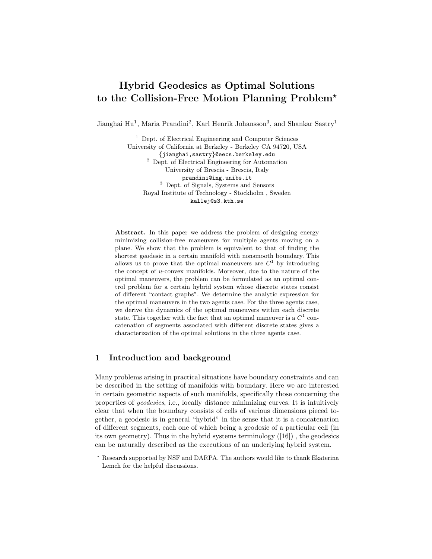# Hybrid Geodesics as Optimal Solutions to the Collision-Free Motion Planning Problem?

Jianghai Hu<sup>1</sup>, Maria Prandini<sup>2</sup>, Karl Henrik Johansson<sup>3</sup>, and Shankar Sastry<sup>1</sup>

<sup>1</sup> Dept. of Electrical Engineering and Computer Sciences University of California at Berkeley - Berkeley CA 94720, USA {jianghai,sastry}@eecs.berkeley.edu <sup>2</sup> Dept. of Electrical Engineering for Automation University of Brescia - Brescia, Italy prandini@ing.unibs.it <sup>3</sup> Dept. of Signals, Systems and Sensors Royal Institute of Technology - Stockholm , Sweden kallej@s3.kth.se

Abstract. In this paper we address the problem of designing energy minimizing collision-free maneuvers for multiple agents moving on a plane. We show that the problem is equivalent to that of finding the shortest geodesic in a certain manifold with nonsmooth boundary. This allows us to prove that the optimal maneuvers are  $C<sup>1</sup>$  by introducing the concept of u-convex manifolds. Moreover, due to the nature of the optimal maneuvers, the problem can be formulated as an optimal control problem for a certain hybrid system whose discrete states consist of different "contact graphs". We determine the analytic expression for the optimal maneuvers in the two agents case. For the three agents case, we derive the dynamics of the optimal maneuvers within each discrete state. This together with the fact that an optimal maneuver is a  $C^1$  concatenation of segments associated with different discrete states gives a characterization of the optimal solutions in the three agents case.

# 1 Introduction and background

Many problems arising in practical situations have boundary constraints and can be described in the setting of manifolds with boundary. Here we are interested in certain geometric aspects of such manifolds, specifically those concerning the properties of geodesics, i.e., locally distance minimizing curves. It is intuitively clear that when the boundary consists of cells of various dimensions pieced together, a geodesic is in general "hybrid" in the sense that it is a concatenation of different segments, each one of which being a geodesic of a particular cell (in its own geometry). Thus in the hybrid systems terminology ([16]) , the geodesics can be naturally described as the executions of an underlying hybrid system.

<sup>?</sup> Research supported by NSF and DARPA. The authors would like to thank Ekaterina Lemch for the helpful discussions.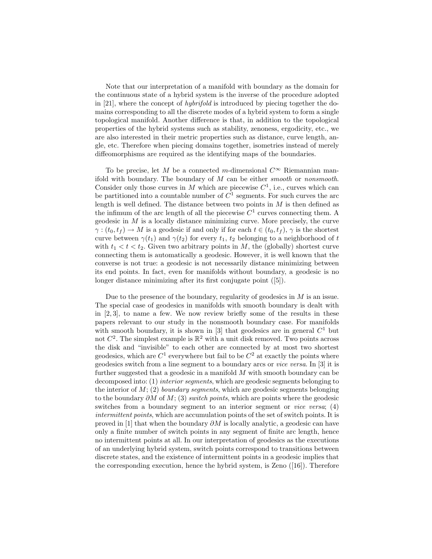Note that our interpretation of a manifold with boundary as the domain for the continuous state of a hybrid system is the inverse of the procedure adopted in [21], where the concept of hybrifold is introduced by piecing together the domains corresponding to all the discrete modes of a hybrid system to form a single topological manifold. Another difference is that, in addition to the topological properties of the hybrid systems such as stability, zenoness, ergodicity, etc., we are also interested in their metric properties such as distance, curve length, angle, etc. Therefore when piecing domains together, isometries instead of merely diffeomorphisms are required as the identifying maps of the boundaries.

To be precise, let M be a connected m-dimensional  $C^{\infty}$  Riemannian manifold with boundary. The boundary of  $M$  can be either smooth or nonsmooth. Consider only those curves in M which are piecewise  $C^1$ , i.e., curves which can be partitioned into a countable number of  $C<sup>1</sup>$  segments. For such curves the arc length is well defined. The distance between two points in  $M$  is then defined as the infimum of the arc length of all the piecewise  $C<sup>1</sup>$  curves connecting them. A geodesic in  $M$  is a locally distance minimizing curve. More precisely, the curve  $\gamma: (t_0, t_f) \to M$  is a geodesic if and only if for each  $t \in (t_0, t_f)$ ,  $\gamma$  is the shortest curve between  $\gamma(t_1)$  and  $\gamma(t_2)$  for every  $t_1$ ,  $t_2$  belonging to a neighborhood of t with  $t_1 < t < t_2$ . Given two arbitrary points in M, the (globally) shortest curve connecting them is automatically a geodesic. However, it is well known that the converse is not true: a geodesic is not necessarily distance minimizing between its end points. In fact, even for manifolds without boundary, a geodesic is no longer distance minimizing after its first conjugate point ([5]).

Due to the presence of the boundary, regularity of geodesics in  $M$  is an issue. The special case of geodesics in manifolds with smooth boundary is dealt with in [2, 3], to name a few. We now review briefly some of the results in these papers relevant to our study in the nonsmooth boundary case. For manifolds with smooth boundary, it is shown in [3] that geodesics are in general  $C<sup>1</sup>$  but not  $C^2$ . The simplest example is  $\mathbb{R}^2$  with a unit disk removed. Two points across the disk and "invisible" to each other are connected by at most two shortest geodesics, which are  $C^1$  everywhere but fail to be  $C^2$  at exactly the points where geodesics switch from a line segment to a boundary arcs or vice versa. In [3] it is further suggested that a geodesic in a manifold  $M$  with smooth boundary can be decomposed into: (1) interior segments, which are geodesic segments belonging to the interior of  $M$ ; (2) *boundary segments*, which are geodesic segments belonging to the boundary  $\partial M$  of  $M$ ; (3) switch points, which are points where the geodesic switches from a boundary segment to an interior segment or *vice versa*; (4) intermittent points, which are accumulation points of the set of switch points. It is proved in [1] that when the boundary  $\partial M$  is locally analytic, a geodesic can have only a finite number of switch points in any segment of finite arc length, hence no intermittent points at all. In our interpretation of geodesics as the executions of an underlying hybrid system, switch points correspond to transitions between discrete states, and the existence of intermittent points in a geodesic implies that the corresponding execution, hence the hybrid system, is Zeno ([16]). Therefore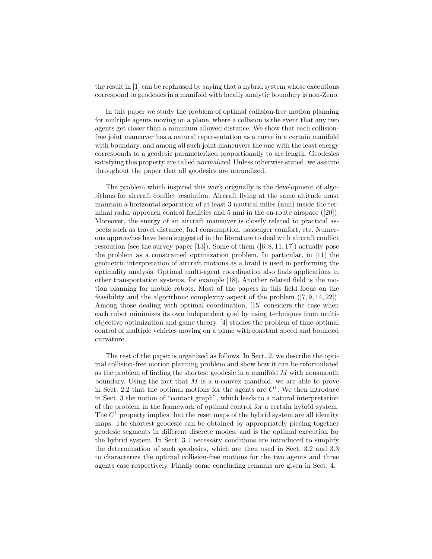the result in [1] can be rephrased by saying that a hybrid system whose executions correspond to geodesics in a manifold with locally analytic boundary is non-Zeno.

In this paper we study the problem of optimal collision-free motion planning for multiple agents moving on a plane, where a collision is the event that any two agents get closer than a minimum allowed distance. We show that each collisionfree joint maneuver has a natural representation as a curve in a certain manifold with boundary, and among all such joint maneuvers the one with the least energy corresponds to a geodesic parameterized proportionally to arc length. Geodesics satisfying this property are called normalized. Unless otherwise stated, we assume throughout the paper that all geodesics are normalized.

The problem which inspired this work originally is the development of algorithms for aircraft conflict resolution. Aircraft flying at the same altitude must maintain a horizontal separation of at least 3 nautical miles (nmi) inside the terminal radar approach control facilities and 5 nmi in the en-route airspace ([20]). Moreover, the energy of an aircraft maneuver is closely related to practical aspects such as travel distance, fuel consumption, passenger comfort, etc. Numerous approaches have been suggested in the literature to deal with aircraft conflict resolution (see the survey paper [13]). Some of them  $([6, 8, 11, 17])$  actually pose the problem as a constrained optimization problem. In particular, in [11] the geometric interpretation of aircraft motions as a braid is used in performing the optimality analysis. Optimal multi-agent coordination also finds applications in other transportation systems, for example [18]. Another related field is the motion planning for mobile robots. Most of the papers in this field focus on the feasibility and the algorithmic complexity aspect of the problem ([7, 9, 14, 22]). Among those dealing with optimal coordination, [15] considers the case when each robot minimizes its own independent goal by using techniques from multiobjective optimization and game theory. [4] studies the problem of time-optimal control of multiple vehicles moving on a plane with constant speed and bounded curvature.

The rest of the paper is organized as follows. In Sect. 2, we describe the optimal collision-free motion planning problem and show how it can be reformulated as the problem of finding the shortest geodesic in a manifold M with nonsmooth boundary. Using the fact that  $M$  is a u-convex manifold, we are able to prove in Sect. 2.2 that the optimal motions for the agents are  $C<sup>1</sup>$ . We then introduce in Sect. 3 the notion of "contact graph", which leads to a natural interpretation of the problem in the framework of optimal control for a certain hybrid system. The  $C<sup>1</sup>$  property implies that the reset maps of the hybrid system are all identity maps. The shortest geodesic can be obtained by appropriately piecing together geodesic segments in different discrete modes, and is the optimal execution for the hybrid system. In Sect. 3.1 necessary conditions are introduced to simplify the determination of such geodesics, which are then used in Sect. 3.2 and 3.3 to characterize the optimal collision-free motions for the two agents and three agents case respectively. Finally some concluding remarks are given in Sect. 4.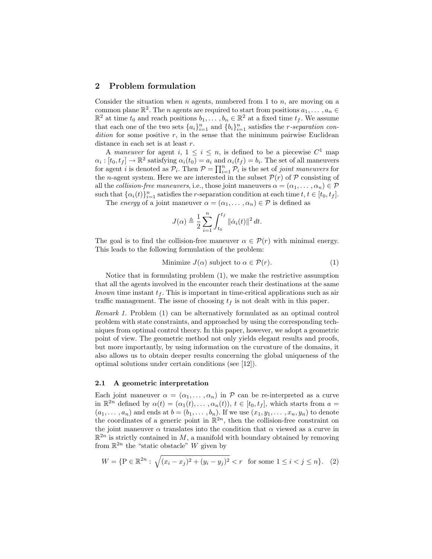# 2 Problem formulation

Consider the situation when  $n$  agents, numbered from 1 to  $n$ , are moving on a common plane  $\mathbb{R}^2$ . The *n* agents are required to start from positions  $a_1, \ldots, a_n \in$  $\mathbb{R}^2$  at time  $t_0$  and reach positions  $b_1, \ldots, b_n \in \mathbb{R}^2$  at a fixed time  $t_f$ . We assume that each one of the two sets  $\{a_i\}_{i=1}^n$  and  $\{b_i\}_{i=1}^n$  satisfies the *r*-separation con $dition$  for some positive  $r$ , in the sense that the minimum pairwise Euclidean distance in each set is at least r.

A maneuver for agent i,  $1 \leq i \leq n$ , is defined to be a piecewise  $C^1$  map  $\alpha_i : [t_0, t_f] \to \mathbb{R}^2$  satisfying  $\alpha_i(t_0) = a_i$  and  $\alpha_i(t_f) = b_i$ . The set of all maneuvers for agent i is denoted as  $\mathcal{P}_i$ . Then  $\mathcal{P} = \prod_{i=1}^n \mathcal{P}_i$  is the set of joint maneuvers for the *n*-agent system. Here we are interested in the subset  $\mathcal{P}(r)$  of  $\mathcal P$  consisting of all the collision-free maneuvers, i.e., those joint maneuvers  $\alpha = (\alpha_1, \dots, \alpha_n) \in \mathcal{P}$ such that  $\{\alpha_i(t)\}_{i=1}^n$  satisfies the r-separation condition at each time  $t, t \in [t_0, t_f]$ .

The *energy* of a joint maneuver  $\alpha = (\alpha_1, \dots, \alpha_n) \in \mathcal{P}$  is defined as

$$
J(\alpha) \triangleq \frac{1}{2} \sum_{i=1}^{n} \int_{t_0}^{t_f} ||\dot{\alpha}_i(t)||^2 dt.
$$

The goal is to find the collision-free maneuver  $\alpha \in \mathcal{P}(r)$  with minimal energy. This leads to the following formulation of the problem:

Minimize 
$$
J(\alpha)
$$
 subject to  $\alpha \in \mathcal{P}(r)$ . (1)

Notice that in formulating problem (1), we make the restrictive assumption that all the agents involved in the encounter reach their destinations at the same known time instant  $t_f$ . This is important in time-critical applications such as air traffic management. The issue of choosing  $t_f$  is not dealt with in this paper.

Remark 1. Problem (1) can be alternatively formulated as an optimal control problem with state constraints, and approached by using the corresponding techniques from optimal control theory. In this paper, however, we adopt a geometric point of view. The geometric method not only yields elegant results and proofs, but more importantly, by using information on the curvature of the domains, it also allows us to obtain deeper results concerning the global uniqueness of the optimal solutions under certain conditions (see [12]).

#### 2.1 A geometric interpretation

Each joint maneuver  $\alpha = (\alpha_1, \dots, \alpha_n)$  in P can be re-interpreted as a curve in  $\mathbb{R}^{2n}$  defined by  $\alpha(t) = (\alpha_1(t), \ldots, \alpha_n(t)), t \in [t_0, t_f],$  which starts from  $a =$  $(a_1, \ldots, a_n)$  and ends at  $b = (b_1, \ldots, b_n)$ . If we use  $(x_1, y_1, \ldots, x_n, y_n)$  to denote the coordinates of a generic point in  $\mathbb{R}^{2n}$ , then the collision-free constraint on the joint maneuver  $\alpha$  translates into the condition that  $\alpha$  viewed as a curve in  $\mathbb{R}^{2n}$  is strictly contained in M, a manifold with boundary obtained by removing from  $\mathbb{R}^{2n}$  the "static obstacle" W given by

$$
W = \{ P \in \mathbb{R}^{2n} : \sqrt{(x_i - x_j)^2 + (y_i - y_j)^2} < r \quad \text{for some } 1 \le i < j \le n \}. \tag{2}
$$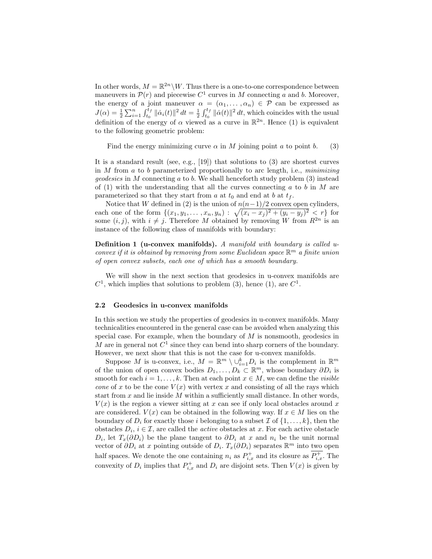In other words,  $M = \mathbb{R}^{2n} \backslash W$ . Thus there is a one-to-one correspondence between maneuvers in  $\mathcal{P}(r)$  and piecewise  $C^1$  curves in M connecting a and b. Moreover, the energy of a joint maneuver  $\alpha = (\alpha_1, \dots, \alpha_n) \in \mathcal{P}$  can be expressed as  $J(\alpha) = \frac{1}{2} \sum_{i=1}^n \int_{t_0}^{t_f} ||\dot{\alpha}_i(t)||^2 dt = \frac{1}{2} \int_{t_0}^{t_f} ||\dot{\alpha}(t)||^2 dt$ , which coincides with the usual definition of the energy of  $\alpha$  viewed as a curve in  $\mathbb{R}^{2n}$ . Hence (1) is equivalent to the following geometric problem:

Find the energy minimizing curve  $\alpha$  in M joining point a to point b. (3)

It is a standard result (see, e.g., [19]) that solutions to  $(3)$  are shortest curves in  $M$  from  $a$  to  $b$  parameterized proportionally to arc length, i.e., *minimizing geodesics* in M connecting a to b. We shall henceforth study problem  $(3)$  instead of (1) with the understanding that all the curves connecting  $a$  to  $b$  in  $M$  are parameterized so that they start from a at  $t_0$  and end at  $b$  at  $t_f$ .

Notice that W defined in (2) is the union of  $n(n-1)/2$  convex open cylinders, each one of the form  $\{(x_1, y_1, \ldots, x_n, y_n) : \sqrt{(x_i - x_j)^2 + (y_i - y_j)^2} < r\}$  for some  $(i, j)$ , with  $i \neq j$ . Therefore M obtained by removing W from  $R^{2n}$  is an instance of the following class of manifolds with boundary:

**Definition 1 (u-convex manifolds).** A manifold with boundary is called uconvex if it is obtained by removing from some Euclidean space  $\mathbb{R}^m$  a finite union of open convex subsets, each one of which has a smooth boundary.

We will show in the next section that geodesics in u-convex manifolds are  $C<sup>1</sup>$ , which implies that solutions to problem (3), hence (1), are  $C<sup>1</sup>$ .

#### 2.2 Geodesics in u-convex manifolds

In this section we study the properties of geodesics in u-convex manifolds. Many technicalities encountered in the general case can be avoided when analyzing this special case. For example, when the boundary of  $M$  is nonsmooth, geodesics in M are in general not  $C^1$  since they can bend into sharp corners of the boundary. However, we next show that this is not the case for u-convex manifolds.

Suppose M is u-convex, i.e.,  $M = \mathbb{R}^m \setminus \cup_{i=1}^k D_i$  is the complement in  $\mathbb{R}^m$ of the union of open convex bodies  $D_1, \ldots, D_k \subset \mathbb{R}^m$ , whose boundary  $\partial D_i$  is smooth for each  $i = 1, ..., k$ . Then at each point  $x \in M$ , we can define the *visible* cone of x to be the cone  $V(x)$  with vertex x and consisting of all the rays which start from  $x$  and lie inside  $M$  within a sufficiently small distance. In other words,  $V(x)$  is the region a viewer sitting at x can see if only local obstacles around x are considered.  $V(x)$  can be obtained in the following way. If  $x \in M$  lies on the boundary of  $D_i$  for exactly those i belonging to a subset  $\mathcal I$  of  $\{1,\ldots,k\}$ , then the obstacles  $D_i$ ,  $i \in \mathcal{I}$ , are called the *active* obstacles at x. For each active obstacle  $D_i$ , let  $T_x(\partial D_i)$  be the plane tangent to  $\partial D_i$  at x and  $n_i$  be the unit normal vector of  $\partial D_i$  at x pointing outside of  $D_i$ .  $T_x(\partial D_i)$  separates  $\mathbb{R}^m$  into two open half spaces. We denote the one containing  $n_i$  as  $P_{i,x}^+$  and its closure as  $\overline{P_{i,x}^+}$ . The convexity of  $D_i$  implies that  $P_{i,x}^+$  and  $D_i$  are disjoint sets. Then  $V(x)$  is given by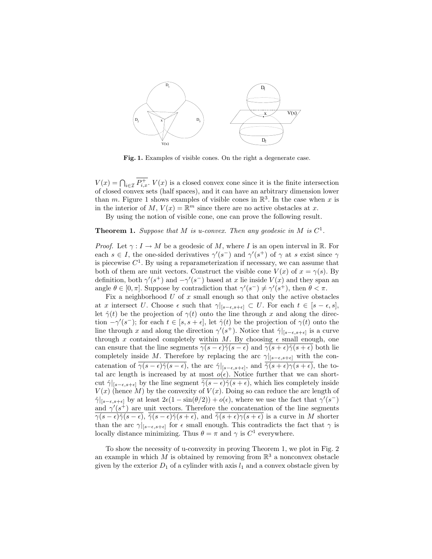

Fig. 1. Examples of visible cones. On the right a degenerate case.

 $V(x) = \bigcap_{i \in \mathcal{I}} \overline{P_{i,x}^+}$ .  $V(x)$  is a closed convex cone since it is the finite intersection of closed convex sets (half spaces), and it can have an arbitrary dimension lower than m. Figure 1 shows examples of visible cones in  $\mathbb{R}^3$ . In the case when x is in the interior of M,  $V(x) = \mathbb{R}^m$  since there are no active obstacles at x.

By using the notion of visible cone, one can prove the following result.

### **Theorem 1.** Suppose that M is u-convex. Then any geodesic in M is  $C^1$ .

*Proof.* Let  $\gamma: I \to M$  be a geodesic of M, where I is an open interval in R. For each  $s \in I$ , the one-sided derivatives  $\gamma'(s^-)$  and  $\gamma'(s^+)$  of  $\gamma$  at s exist since  $\gamma$ is piecewise  $C<sup>1</sup>$ . By using a reparameterization if necessary, we can assume that both of them are unit vectors. Construct the visible cone  $V(x)$  of  $x = \gamma(s)$ . By definition, both  $\gamma'(s^+)$  and  $-\gamma'(s^-)$  based at x lie inside  $V(x)$  and they span and angle  $\theta \in [0, \pi]$ . Suppose by contradiction that  $\gamma'(s^-) \neq \gamma'(s^+)$ , then  $\theta < \pi$ .

Fix a neighborhood  $U$  of  $x$  small enough so that only the active obstacles at x intersect U. Choose  $\epsilon$  such that  $\gamma|_{[s-\epsilon,s+\epsilon]} \subset U$ . For each  $t \in [s-\epsilon,s],$ let  $\hat{\gamma}(t)$  be the projection of  $\gamma(t)$  onto the line through x and along the direction  $-\gamma'(s^-)$ ; for each  $t \in [s, s + \epsilon]$ , let  $\hat{\gamma}(t)$  be the projection of  $\gamma(t)$  onto the line through x and along the direction  $\gamma'(s^+)$ . Notice that  $\hat{\gamma}|_{[s-\epsilon,s+\epsilon]}$  is a curve through x contained completely within M. By choosing  $\epsilon$  small enough, one can ensure that the line segments  $\gamma(s - \epsilon) \hat{\gamma}(s - \epsilon)$  and  $\gamma(s + \epsilon) \hat{\gamma}(s + \epsilon)$  both lie completely inside M. Therefore by replacing the arc  $\gamma|_{[s-\epsilon,s+\epsilon]}$  with the concatenation of  $\overline{\gamma(s-\epsilon)}\hat{\gamma}(s-\epsilon)$ , the arc  $\hat{\gamma}|_{[s-\epsilon,s+\epsilon]}$ , and  $\overline{\hat{\gamma}(s+\epsilon)}\gamma(s+\epsilon)$ , the total arc length is increased by at most  $o(\epsilon)$ . Notice further that we can shortcut  $\hat{\gamma}|_{[s-\epsilon,s+\epsilon]}$  by the line segment  $\hat{\gamma}(s-\epsilon)\hat{\gamma}(s+\epsilon)$ , which lies completely inside  $V(x)$  (hence M) by the convexity of  $V(x)$ . Doing so can reduce the arc length of  $\hat{\gamma}|_{[s-\epsilon,s+\epsilon]}$  by at least  $2\epsilon(1-\sin(\theta/2)) + o(\epsilon)$ , where we use the fact that  $\gamma'(s^-)$ and  $\gamma'(s^+)$  are unit vectors. Therefore the concatenation of the line segments  $\overline{\gamma(s-\epsilon)}\hat{\gamma(s-\epsilon)}$ ,  $\overline{\hat{\gamma}(s-\epsilon)}\hat{\gamma(s+\epsilon)}$ , and  $\overline{\hat{\gamma}(s+\epsilon)}\gamma(s+\epsilon)$  is a curve in M shorter than the arc  $\gamma|_{s-\epsilon,s+\epsilon]}$  for  $\epsilon$  small enough. This contradicts the fact that  $\gamma$  is locally distance minimizing. Thus  $\theta = \pi$  and  $\gamma$  is  $C^1$  everywhere.

To show the necessity of u-convexity in proving Theorem 1, we plot in Fig. 2 an example in which M is obtained by removing from  $\mathbb{R}^3$  a nonconvex obstacle given by the exterior  $D_1$  of a cylinder with axis  $l_1$  and a convex obstacle given by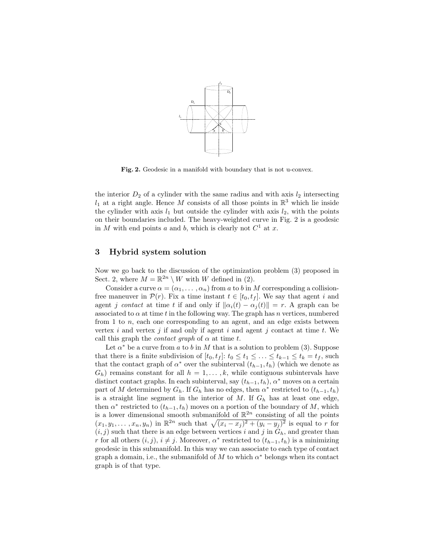

Fig. 2. Geodesic in a manifold with boundary that is not u-convex.

the interior  $D_2$  of a cylinder with the same radius and with axis  $l_2$  intersecting  $l_1$  at a right angle. Hence M consists of all those points in  $\mathbb{R}^3$  which lie inside the cylinder with axis  $l_1$  but outside the cylinder with axis  $l_2$ , with the points on their boundaries included. The heavy-weighted curve in Fig. 2 is a geodesic in M with end points a and b, which is clearly not  $C^1$  at x.

# 3 Hybrid system solution

Now we go back to the discussion of the optimization problem (3) proposed in Sect. 2, where  $M = \mathbb{R}^{2n} \setminus W$  with W defined in (2).

Consider a curve  $\alpha = (\alpha_1, \dots, \alpha_n)$  from a to b in M corresponding a collisionfree maneuver in  $\mathcal{P}(r)$ . Fix a time instant  $t \in [t_0, t_f]$ . We say that agent i and agent j contact at time t if and only if  $\|\alpha_i(t) - \alpha_i(t)\| = r$ . A graph can be associated to  $\alpha$  at time t in the following way. The graph has n vertices, numbered from 1 to  $n$ , each one corresponding to an agent, and an edge exists between vertex  $i$  and vertex  $j$  if and only if agent  $i$  and agent  $j$  contact at time  $t$ . We call this graph the *contact graph* of  $\alpha$  at time t.

Let  $\alpha^*$  be a curve from a to b in M that is a solution to problem (3). Suppose that there is a finite subdivision of  $[t_0, t_f]$ :  $t_0 \le t_1 \le \ldots \le t_{k-1} \le t_k = t_f$ , such that the contact graph of  $\alpha^*$  over the subinterval  $(t_{h-1}, t_h)$  (which we denote as  $G_h$ ) remains constant for all  $h = 1, \ldots, k$ , while contiguous subintervals have distinct contact graphs. In each subinterval, say  $(t_{h-1}, t_h)$ ,  $\alpha^*$  moves on a certain part of M determined by  $G_h$ . If  $G_h$  has no edges, then  $\alpha^*$  restricted to  $(t_{h-1}, t_h)$ is a straight line segment in the interior of M. If  $G_h$  has at least one edge, then  $\alpha^*$  restricted to  $(t_{h-1}, t_h)$  moves on a portion of the boundary of M, which is a lower dimensional smooth submanifold of  $\mathbb{R}^{2n}$  consisting of all the points  $(x_1, y_1, \ldots, x_n, y_n)$  in  $\mathbb{R}^{2n}$  such that  $\sqrt{(x_i - x_j)^2 + (y_i - y_j)^2}$  is equal to r for  $(i, j)$  such that there is an edge between vertices i and j in  $G_h$ , and greater than r for all others  $(i, j)$ ,  $i \neq j$ . Moreover,  $\alpha^*$  restricted to  $(t_{h-1}, t_h)$  is a minimizing geodesic in this submanifold. In this way we can associate to each type of contact graph a domain, i.e., the submanifold of M to which  $\alpha^*$  belongs when its contact graph is of that type.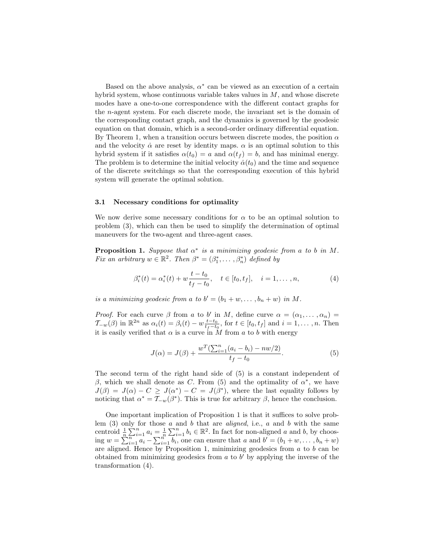Based on the above analysis,  $\alpha^*$  can be viewed as an execution of a certain hybrid system, whose continuous variable takes values in  $M$ , and whose discrete modes have a one-to-one correspondence with the different contact graphs for the n-agent system. For each discrete mode, the invariant set is the domain of the corresponding contact graph, and the dynamics is governed by the geodesic equation on that domain, which is a second-order ordinary differential equation. By Theorem 1, when a transition occurs between discrete modes, the position  $\alpha$ and the velocity  $\dot{\alpha}$  are reset by identity maps.  $\alpha$  is an optimal solution to this hybrid system if it satisfies  $\alpha(t_0) = a$  and  $\alpha(t_f) = b$ , and has minimal energy. The problem is to determine the initial velocity  $\dot{\alpha}(t_0)$  and the time and sequence of the discrete switchings so that the corresponding execution of this hybrid system will generate the optimal solution.

#### 3.1 Necessary conditions for optimality

We now derive some necessary conditions for  $\alpha$  to be an optimal solution to problem (3), which can then be used to simplify the determination of optimal maneuvers for the two-agent and three-agent cases.

**Proposition 1.** Suppose that  $\alpha^*$  is a minimizing geodesic from a to b in M. Fix an arbitrary  $w \in \mathbb{R}^2$ . Then  $\beta^* = (\beta_1^*, \dots, \beta_n^*)$  defined by

$$
\beta_i^*(t) = \alpha_i^*(t) + w \frac{t - t_0}{t_f - t_0}, \quad t \in [t_0, t_f], \quad i = 1, \dots, n,
$$
 (4)

is a minimizing geodesic from a to  $b' = (b_1 + w, \dots, b_n + w)$  in M.

*Proof.* For each curve  $\beta$  from a to b' in M, define curve  $\alpha = (\alpha_1, \dots, \alpha_n)$  $\mathcal{T}_{-w}(\beta)$  in  $\mathbb{R}^{2n}$  as  $\alpha_i(t) = \beta_i(t) - w \frac{t-t_0}{t_f-t_0}$ , for  $t \in [t_0, t_f]$  and  $i = 1, \ldots, n$ . Then it is easily verified that  $\alpha$  is a curve in M from a to b with energy

$$
J(\alpha) = J(\beta) + \frac{w^T(\sum_{i=1}^n (a_i - b_i) - nw/2)}{t_f - t_0}.
$$
 (5)

The second term of the right hand side of (5) is a constant independent of β, which we shall denote as C. From (5) and the optimality of  $\alpha^*$ , we have  $J(\beta) = J(\alpha) - C \geq J(\alpha^*) - C = J(\beta^*)$ , where the last equality follows by noticing that  $\alpha^* = \overline{\mathcal{I}}_{-w}(\beta^*)$ . This is true for arbitrary  $\beta$ , hence the conclusion.

One important implication of Proposition 1 is that it suffices to solve problem  $(3)$  only for those a and b that are aligned, i.e., a and b with the same centroid  $\frac{1}{n} \sum_{i=1}^{n} a_i = \frac{1}{n} \sum_{i=1}^{n} b_i \in \mathbb{R}^2$ . In fact for non-aligned a and b, by choosing  $w = \sum_{i=1}^{n} a_i - \sum_{i=1}^{n} b_i$ , one can ensure that a and  $b' = (b_1 + w, \dots, b_n + w)$ are aligned. Hence by Proposition 1, minimizing geodesics from  $a$  to  $b$  can be obtained from minimizing geodesics from  $a$  to  $b'$  by applying the inverse of the transformation (4).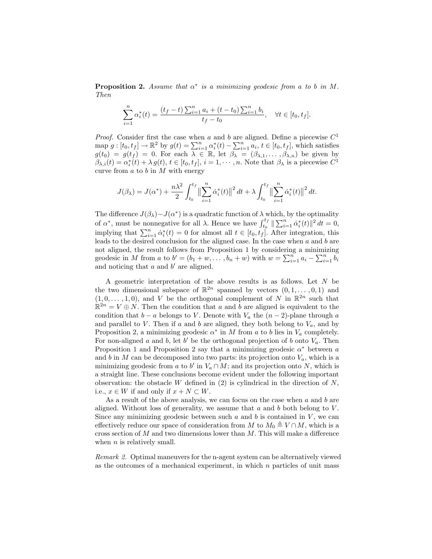**Proposition 2.** Assume that  $\alpha^*$  is a minimizing geodesic from a to b in M. Then

$$
\sum_{i=1}^{n} \alpha_i^*(t) = \frac{(t_f - t) \sum_{i=1}^{n} a_i + (t - t_0) \sum_{i=1}^{n} b_i}{t_f - t_0}, \quad \forall t \in [t_0, t_f].
$$

*Proof.* Consider first the case when a and b are aligned. Define a piecewise  $C<sup>1</sup>$ map  $g: [t_0, t_f] \to \mathbb{R}^2$  by  $g(t) = \sum_{i=1}^n \alpha_i^*(t) - \sum_{i=1}^n a_i, t \in [t_0, t_f]$ , which satisfies  $g(t_0) = g(t_f) = 0$ . For each  $\lambda \in \mathbb{R}$ , let  $\beta_{\lambda} = (\beta_{\lambda,1}, \ldots, \beta_{\lambda,n})$  be given by  $\beta_{\lambda,i}(t) = \alpha_i^*(t) + \lambda g(t), t \in [t_0, t_f], i = 1, \dots, n.$  Note that  $\beta_{\lambda}$  is a piecewise  $C^1$ curve from  $a$  to  $b$  in  $M$  with energy

$$
J(\beta_{\lambda}) = J(\alpha^*) + \frac{n\lambda^2}{2} \int_{t_0}^{t_f} \left\| \sum_{i=1}^n \dot{\alpha}_i^*(t) \right\|^2 dt + \lambda \int_{t_0}^{t_f} \left\| \sum_{i=1}^n \dot{\alpha}_i^*(t) \right\|^2 dt.
$$

The difference  $J(\beta_{\lambda}) - J(\alpha^*)$  is a quadratic function of  $\lambda$  which, by the optimality of  $\alpha^*$ , must be nonnegative for all  $\lambda$ . Hence we have  $\int_{t_0}^{t_f} \|\sum_{i=1}^n \dot{\alpha}_i^*(t)\|^2 dt = 0$ , implying that  $\sum_{i=1}^{n} \dot{\alpha}_i^*(t) = 0$  for almost all  $t \in [t_0, t_f]$ . After integration, this leads to the desired conclusion for the aligned case. In the case when  $a$  and  $b$  are not aligned, the result follows from Proposition 1 by considering a minimizing geodesic in M from a to  $b' = (b_1 + w, \dots, b_n + w)$  with  $w = \sum_{i=1}^n a_i - \sum_{i=1}^n b_i$ and noticing that  $a$  and  $b'$  are aligned.

A geometric interpretation of the above results is as follows. Let N be the two dimensional subspace of  $\mathbb{R}^{2n}$  spanned by vectors  $(0, 1, \ldots, 0, 1)$  and  $(1,0,\ldots,1,0)$ , and V be the orthogonal complement of N in  $\mathbb{R}^{2n}$  such that  $\mathbb{R}^{2n} = V \oplus N$ . Then the condition that a and b are aligned is equivalent to the condition that  $b - a$  belongs to V. Denote with  $V_a$  the  $(n - 2)$ -plane through a and parallel to  $V$ . Then if a and b are aligned, they both belong to  $V_a$ , and by Proposition 2, a minimizing geodesic  $\alpha^*$  in M from a to b lies in  $V_a$  completely. For non-aligned a and b, let b' be the orthogonal projection of b onto  $V_a$ . Then Proposition 1 and Proposition 2 say that a minimizing geodesic  $\alpha^*$  between a and b in M can be decomposed into two parts: its projection onto  $V_a$ , which is a minimizing geodesic from a to b' in  $V_a \cap M$ ; and its projection onto N, which is a straight line. These conclusions become evident under the following important observation: the obstacle  $W$  defined in (2) is cylindrical in the direction of  $N$ , i.e.,  $x \in W$  if and only if  $x + N \subset W$ .

As a result of the above analysis, we can focus on the case when  $a$  and  $b$  are aligned. Without loss of generality, we assume that  $a$  and  $b$  both belong to  $V$ . Since any minimizing geodesic between such  $a$  and  $b$  is contained in  $V$ , we can effectively reduce our space of consideration from M to  $M_0 \triangleq V \cap M$ , which is a cross section of  $M$  and two dimensions lower than  $M$ . This will make a difference when  $n$  is relatively small.

Remark 2. Optimal maneuvers for the n-agent system can be alternatively viewed as the outcomes of a mechanical experiment, in which  $n$  particles of unit mass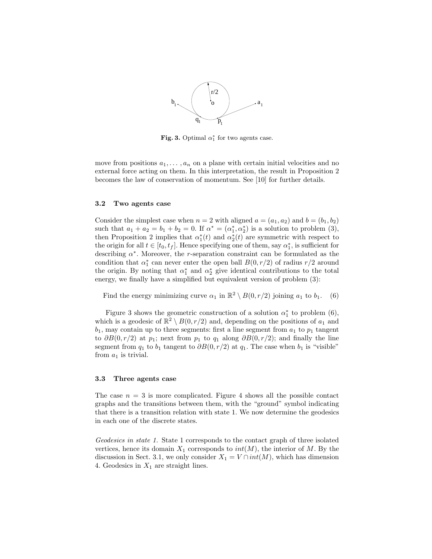

Fig. 3. Optimal  $\alpha_1^*$  for two agents case.

move from positions  $a_1, \ldots, a_n$  on a plane with certain initial velocities and no external force acting on them. In this interpretation, the result in Proposition 2 becomes the law of conservation of momentum. See [10] for further details.

#### 3.2 Two agents case

Consider the simplest case when  $n = 2$  with aligned  $a = (a_1, a_2)$  and  $b = (b_1, b_2)$ such that  $a_1 + a_2 = b_1 + b_2 = 0$ . If  $\alpha^* = (\alpha_1^*, \alpha_2^*)$  is a solution to problem (3), then Proposition 2 implies that  $\alpha_1^*(t)$  and  $\alpha_2^*(t)$  are symmetric with respect to the origin for all  $t \in [t_0, t_f]$ . Hence specifying one of them, say  $\alpha_1^*$ , is sufficient for describing  $\alpha^*$ . Moreover, the *r*-separation constraint can be formulated as the condition that  $\alpha_1^*$  can never enter the open ball  $B(0, r/2)$  of radius  $r/2$  around the origin. By noting that  $\alpha_1^*$  and  $\alpha_2^*$  give identical contributions to the total energy, we finally have a simplified but equivalent version of problem (3):

Find the energy minimizing curve  $\alpha_1$  in  $\mathbb{R}^2 \setminus B(0, r/2)$  joining  $a_1$  to  $b_1$ . (6)

Figure 3 shows the geometric construction of a solution  $\alpha_1^*$  to problem (6), which is a geodesic of  $\mathbb{R}^2 \setminus B(0, r/2)$  and, depending on the positions of  $a_1$  and  $b_1$ , may contain up to three segments: first a line segment from  $a_1$  to  $p_1$  tangent to  $\partial B(0, r/2)$  at  $p_1$ ; next from  $p_1$  to  $q_1$  along  $\partial B(0, r/2)$ ; and finally the line segment from  $q_1$  to  $b_1$  tangent to  $\partial B(0, r/2)$  at  $q_1$ . The case when  $b_1$  is "visible" from  $a_1$  is trivial.

#### 3.3 Three agents case

The case  $n = 3$  is more complicated. Figure 4 shows all the possible contact graphs and the transitions between them, with the "ground" symbol indicating that there is a transition relation with state 1. We now determine the geodesics in each one of the discrete states.

Geodesics in state 1. State 1 corresponds to the contact graph of three isolated vertices, hence its domain  $X_1$  corresponds to  $int(M)$ , the interior of M. By the discussion in Sect. 3.1, we only consider  $X_1 = V \cap int(M)$ , which has dimension 4. Geodesics in  $X_1$  are straight lines.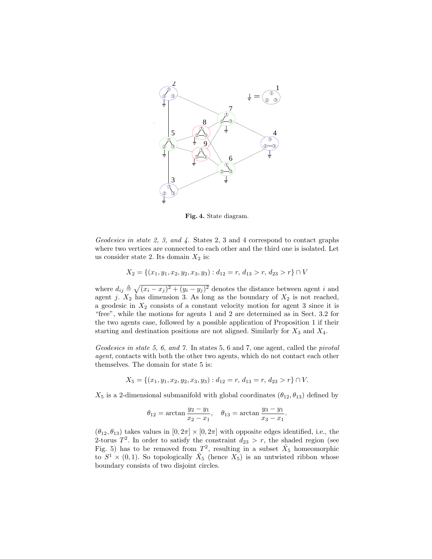

Fig. 4. State diagram.

Geodesics in state 2, 3, and 4. States 2, 3 and 4 correspond to contact graphs where two vertices are connected to each other and the third one is isolated. Let us consider state 2. Its domain  $X_2$  is:

$$
X_2 = \{(x_1, y_1, x_2, y_2, x_3, y_3) : d_{12} = r, d_{13} > r, d_{23} > r\} \cap V
$$

where  $d_{ij} \triangleq \sqrt{(x_i - x_j)^2 + (y_i - y_j)^2}$  denotes the distance between agent i and agent j.  $X_2$  has dimension 3. As long as the boundary of  $X_2$  is not reached, a geodesic in  $X_2$  consists of a constant velocity motion for agent 3 since it is "free", while the motions for agents 1 and 2 are determined as in Sect. 3.2 for the two agents case, followed by a possible application of Proposition 1 if their starting and destination positions are not aligned. Similarly for  $X_3$  and  $X_4$ .

Geodesics in state 5, 6, and 7. In states 5, 6 and 7, one agent, called the *pivotal* agent, contacts with both the other two agents, which do not contact each other themselves. The domain for state 5 is:

$$
X_5 = \{(x_1, y_1, x_2, y_2, x_3, y_3) : d_{12} = r, d_{13} = r, d_{23} > r\} \cap V.
$$

 $X_5$  is a 2-dimensional submanifold with global coordinates  $(\theta_{12}, \theta_{13})$  defined by

$$
\theta_{12} = \arctan \frac{y_2 - y_1}{x_2 - x_1}, \quad \theta_{13} = \arctan \frac{y_3 - y_1}{x_3 - x_1}.
$$

 $(\theta_{12}, \theta_{13})$  takes values in  $[0, 2\pi] \times [0, 2\pi]$  with opposite edges identified, i.e., the 2-torus  $T^2$ . In order to satisfy the constraint  $d_{23} > r$ , the shaded region (see Fig. 5) has to be removed from  $T^2$ , resulting in a subset  $\hat{X}_5$  homeomorphic to  $S^1 \times (0,1)$ . So topologically  $\hat{X}_5$  (hence  $X_5$ ) is an untwisted ribbon whose boundary consists of two disjoint circles.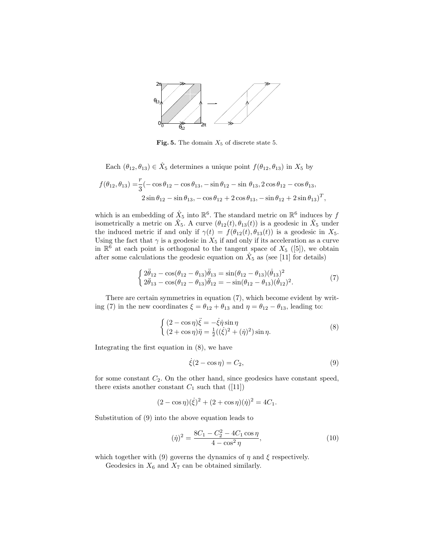

Fig. 5. The domain  $X_5$  of discrete state 5.

Each  $(\theta_{12}, \theta_{13}) \in \hat{X}_5$  determines a unique point  $f(\theta_{12}, \theta_{13})$  in  $X_5$  by

$$
f(\theta_{12}, \theta_{13}) = \frac{r}{3}(-\cos\theta_{12} - \cos\theta_{13}, -\sin\theta_{12} - \sin\theta_{13}, 2\cos\theta_{12} - \cos\theta_{13},
$$
  

$$
2\sin\theta_{12} - \sin\theta_{13}, -\cos\theta_{12} + 2\cos\theta_{13}, -\sin\theta_{12} + 2\sin\theta_{13})^T,
$$

which is an embedding of  $\hat{X}_5$  into  $\mathbb{R}^6$ . The standard metric on  $\mathbb{R}^6$  induces by  $f$ isometrically a metric on  $\hat{X}_5$ . A curve  $(\theta_{12}(t), \theta_{13}(t))$  is a geodesic in  $\hat{X}_5$  under the induced metric if and only if  $\gamma(t) = f(\theta_{12}(t), \theta_{13}(t))$  is a geodesic in  $X_5$ . Using the fact that  $\gamma$  is a geodesic in  $X_5$  if and only if its acceleration as a curve in  $\mathbb{R}^6$  at each point is orthogonal to the tangent space of  $X_5$  ([5]), we obtain after some calculations the geodesic equation on  $\hat{X}_5$  as (see [11] for details)

$$
\begin{cases}\n2\ddot{\theta}_{12} - \cos(\theta_{12} - \theta_{13})\ddot{\theta}_{13} = \sin(\theta_{12} - \theta_{13})(\dot{\theta}_{13})^2 \\
2\ddot{\theta}_{13} - \cos(\theta_{12} - \theta_{13})\ddot{\theta}_{12} = -\sin(\theta_{12} - \theta_{13})(\dot{\theta}_{12})^2.\n\end{cases}
$$
\n(7)

There are certain symmetries in equation (7), which become evident by writing (7) in the new coordinates  $\xi = \theta_{12} + \theta_{13}$  and  $\eta = \theta_{12} - \theta_{13}$ , leading to:

$$
\begin{cases}\n(2 - \cos \eta)\ddot{\xi} = -\dot{\xi}\dot{\eta}\sin\eta \\
(2 + \cos \eta)\ddot{\eta} = \frac{1}{2}((\dot{\xi})^2 + (\dot{\eta})^2)\sin\eta.\n\end{cases}
$$
\n(8)

Integrating the first equation in (8), we have

$$
\dot{\xi}(2 - \cos \eta) = C_2,\tag{9}
$$

for some constant  $C_2$ . On the other hand, since geodesics have constant speed, there exists another constant  $C_1$  such that  $([11])$ 

$$
(2 - \cos \eta)(\dot{\xi})^2 + (2 + \cos \eta)(\dot{\eta})^2 = 4C_1.
$$

Substitution of (9) into the above equation leads to

$$
(\dot{\eta})^2 = \frac{8C_1 - C_2^2 - 4C_1 \cos \eta}{4 - \cos^2 \eta},\tag{10}
$$

which together with (9) governs the dynamics of  $\eta$  and  $\xi$  respectively.

Geodesics in  $X_6$  and  $X_7$  can be obtained similarly.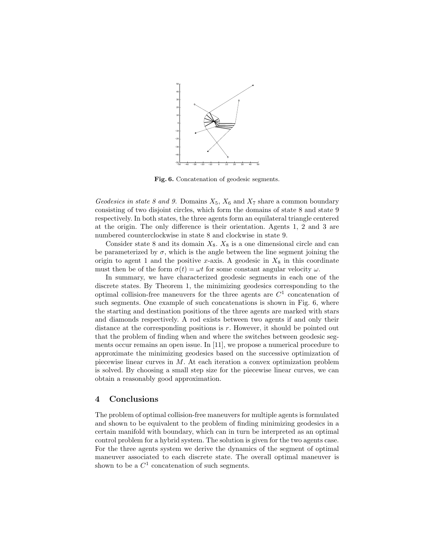

Fig. 6. Concatenation of geodesic segments.

Geodesics in state 8 and 9. Domains  $X_5$ ,  $X_6$  and  $X_7$  share a common boundary consisting of two disjoint circles, which form the domains of state 8 and state 9 respectively. In both states, the three agents form an equilateral triangle centered at the origin. The only difference is their orientation. Agents 1, 2 and 3 are numbered counterclockwise in state 8 and clockwise in state 9.

Consider state 8 and its domain  $X_8$ .  $X_8$  is a one dimensional circle and can be parameterized by  $\sigma$ , which is the angle between the line segment joining the origin to agent 1 and the positive x-axis. A geodesic in  $X_8$  in this coordinate must then be of the form  $\sigma(t) = \omega t$  for some constant angular velocity  $\omega$ .

In summary, we have characterized geodesic segments in each one of the discrete states. By Theorem 1, the minimizing geodesics corresponding to the optimal collision-free maneuvers for the three agents are  $C<sup>1</sup>$  concatenation of such segments. One example of such concatenations is shown in Fig. 6, where the starting and destination positions of the three agents are marked with stars and diamonds respectively. A rod exists between two agents if and only their distance at the corresponding positions is  $r$ . However, it should be pointed out that the problem of finding when and where the switches between geodesic segments occur remains an open issue. In [11], we propose a numerical procedure to approximate the minimizing geodesics based on the successive optimization of piecewise linear curves in M. At each iteration a convex optimization problem is solved. By choosing a small step size for the piecewise linear curves, we can obtain a reasonably good approximation.

#### 4 Conclusions

The problem of optimal collision-free maneuvers for multiple agents is formulated and shown to be equivalent to the problem of finding minimizing geodesics in a certain manifold with boundary, which can in turn be interpreted as an optimal control problem for a hybrid system. The solution is given for the two agents case. For the three agents system we derive the dynamics of the segment of optimal maneuver associated to each discrete state. The overall optimal maneuver is shown to be a  $C^1$  concatenation of such segments.